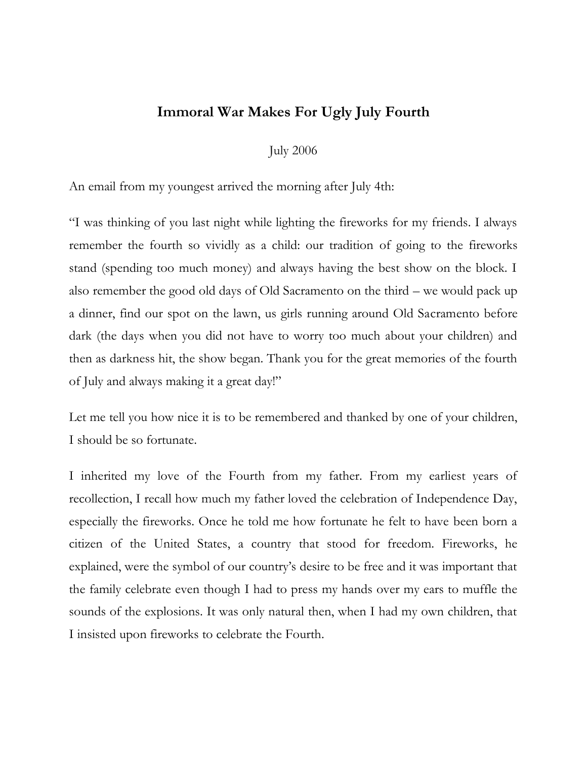## **Immoral War Makes For Ugly July Fourth**

July 2006

An email from my youngest arrived the morning after July 4th:

"I was thinking of you last night while lighting the fireworks for my friends. I always remember the fourth so vividly as a child: our tradition of going to the fireworks stand (spending too much money) and always having the best show on the block. I also remember the good old days of Old Sacramento on the third – we would pack up a dinner, find our spot on the lawn, us girls running around Old Sacramento before dark (the days when you did not have to worry too much about your children) and then as darkness hit, the show began. Thank you for the great memories of the fourth of July and always making it a great day!"

Let me tell you how nice it is to be remembered and thanked by one of your children, I should be so fortunate.

I inherited my love of the Fourth from my father. From my earliest years of recollection, I recall how much my father loved the celebration of Independence Day, especially the fireworks. Once he told me how fortunate he felt to have been born a citizen of the United States, a country that stood for freedom. Fireworks, he explained, were the symbol of our country's desire to be free and it was important that the family celebrate even though I had to press my hands over my ears to muffle the sounds of the explosions. It was only natural then, when I had my own children, that I insisted upon fireworks to celebrate the Fourth.